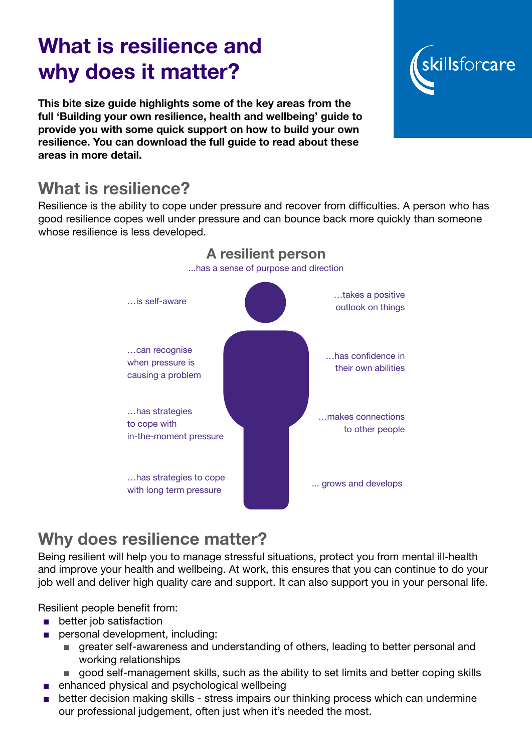# What is resilience and why does it matter?

This bite size guide highlights some of the key areas from the full 'Building your own resilience, health and wellbeing' guide to provide you with some quick support on how to build your own resilience. You can download the full guide to read about these areas in more detail.

# What is resilience?

Resilience is the ability to cope under pressure and recover from difficulties. A person who has good resilience copes well under pressure and can bounce back more quickly than someone whose resilience is less developed.



# Why does resilience matter?

Being resilient will help you to manage stressful situations, protect you from mental ill-health and improve your health and wellbeing. At work, this ensures that you can continue to do your job well and deliver high quality care and support. It can also support you in your personal life.

Resilient people benefit from:

- better job satisfaction
- personal development, including:
	- greater self-awareness and understanding of others, leading to better personal and working relationships
	- good self-management skills, such as the ability to set limits and better coping skills
- enhanced physical and psychological wellbeing
- better decision making skills stress impairs our thinking process which can undermine our professional judgement, often just when it's needed the most.

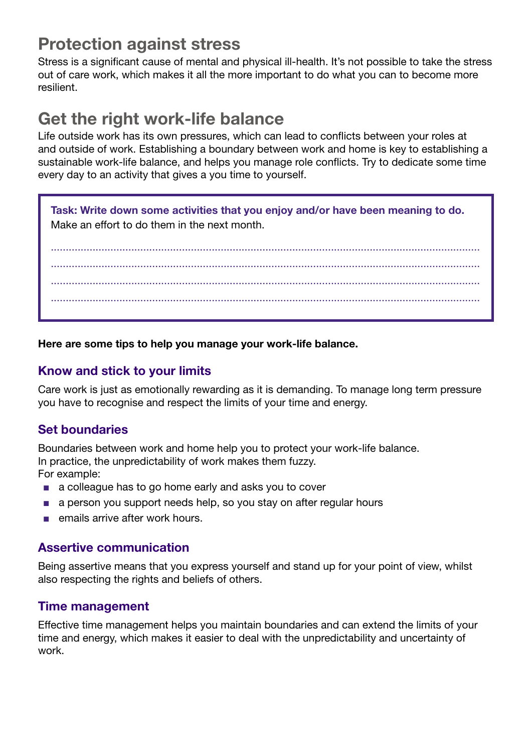### Protection against stress

Stress is a significant cause of mental and physical ill-health. It's not possible to take the stress out of care work, which makes it all the more important to do what you can to become more resilient.

## Get the right work-life balance

Life outside work has its own pressures, which can lead to conflicts between your roles at and outside of work. Establishing a boundary between work and home is key to establishing a sustainable work-life balance, and helps you manage role conflicts. Try to dedicate some time every day to an activity that gives a you time to yourself.

Task: Write down some activities that you enjoy and/or have been meaning to do. Make an effort to do them in the next month.

................................................................................................................................................ ................................................................................................................................................ ................................................................................................................................................ ................................................................................................................................................

Here are some tips to help you manage your work-life balance.

#### Know and stick to your limits

Care work is just as emotionally rewarding as it is demanding. To manage long term pressure you have to recognise and respect the limits of your time and energy.

#### Set boundaries

Boundaries between work and home help you to protect your work-life balance. In practice, the unpredictability of work makes them fuzzy. For example:

- a colleague has to go home early and asks you to cover
- a person you support needs help, so you stay on after regular hours
- emails arrive after work hours.

#### Assertive communication

Being assertive means that you express yourself and stand up for your point of view, whilst also respecting the rights and beliefs of others.

#### Time management

Effective time management helps you maintain boundaries and can extend the limits of your time and energy, which makes it easier to deal with the unpredictability and uncertainty of work.